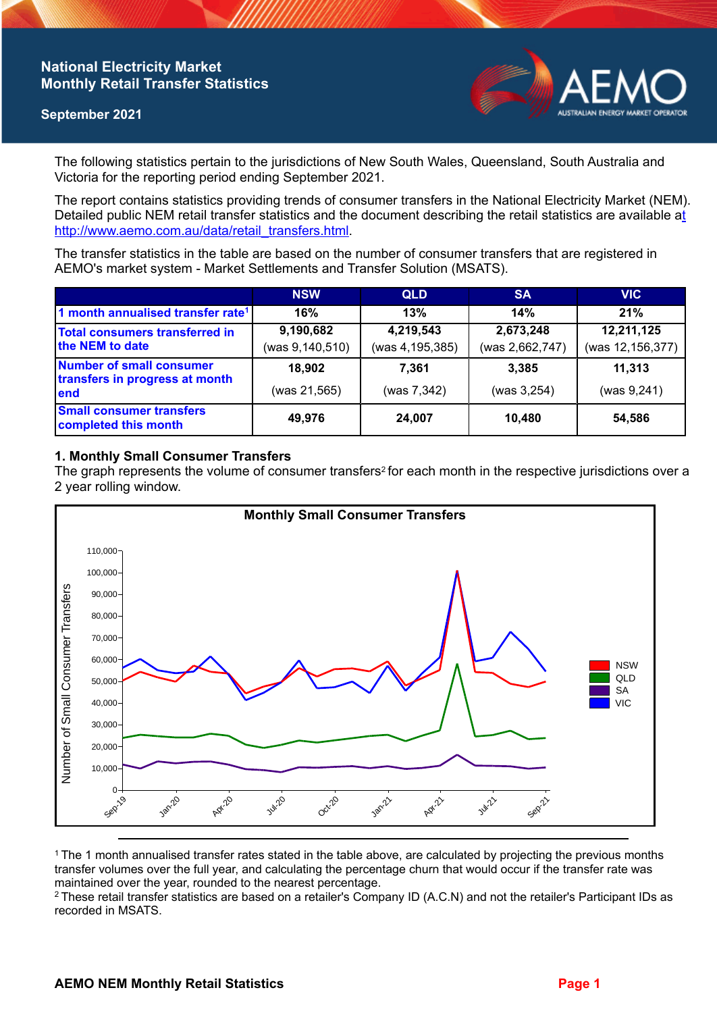## **National Electricity Market Monthly Retail Transfer Statistics**

### **September 2021**



The following statistics pertain to the jurisdictions of New South Wales, Queensland, South Australia and Victoria for the reporting period ending September 2021.

The report contains statistics providing trends of consumer transfers in the National Electricity Market (NEM). Detailed public NEM retail transfer statistics and the document describing the retail statistics are available a[t](http://www.aemo.com.au/data/retail_transfers.html)  http://www.aemo.com.au/data/retail\_transfers.html

The transfer statistics in the table are based on the number of consumer transfers that are registered in AEMO's market system - Market Settlements and Transfer Solution (MSATS).

|                                                                    | <b>NSW</b>        | <b>QLD</b>      | <b>SA</b>       | <b>VIC</b>       |
|--------------------------------------------------------------------|-------------------|-----------------|-----------------|------------------|
| 1 month annualised transfer rate <sup>1</sup>                      | 16%               | 13%             | 14%             | 21%              |
| Total consumers transferred in<br>the NEM to date                  | 9,190,682         | 4,219,543       | 2,673,248       | 12,211,125       |
|                                                                    | (was 9, 140, 510) | (was 4,195,385) | (was 2,662,747) | (was 12,156,377) |
| Number of small consumer<br>transfers in progress at month<br>lend | 18,902            | 7.361           | 3.385           | 11,313           |
|                                                                    | (was 21,565)      | (was 7,342)     | (was 3, 254)    | (was 9, 241)     |
| <b>Small consumer transfers</b><br>completed this month            | 49,976            | 24,007          | 10.480          | 54,586           |

## **1. Monthly Small Consumer Transfers**

The graph represents the volume of consumer transfers<sup>2</sup> for each month in the respective jurisdictions over a 2 year rolling window.



<sup>1</sup> The 1 month annualised transfer rates stated in the table above, are calculated by projecting the previous months transfer volumes over the full year, and calculating the percentage churn that would occur if the transfer rate was maintained over the year, rounded to the nearest percentage.

<sup>2</sup> These retail transfer statistics are based on a retailer's Company ID (A.C.N) and not the retailer's Participant IDs as recorded in MSATS.